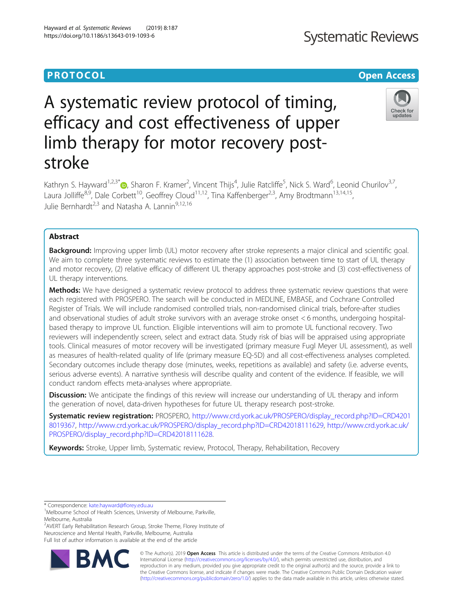# Hayward et al. Systematic Reviews (2019) 8:187 https://doi.org/10.1186/s13643-019-1093-6

# **PROTOCOL CONSUMING THE CONSUMING TEACHER CONSUMING THE CONSUMING TEACHER CONSUMING THE CONSUMING TEACHER CONSUMING**

# **Systematic Reviews**

# A systematic review protocol of timing, efficacy and cost effectiveness of upper limb therapy for motor recovery poststroke

Kathryn S. Hayward<sup>1[,](http://orcid.org/0000-0001-5240-3264)2,3\*</sup>®, Sharon F. Kramer<sup>2</sup>, Vincent Thijs<sup>4</sup>, Julie Ratcliffe<sup>5</sup>, Nick S. Ward<sup>6</sup>, Leonid Churilov<sup>3,7</sup>, Laura Jolliffe<sup>8,9</sup>, Dale Corbett<sup>10</sup>, Geoffrey Cloud<sup>11,12</sup>, Tina Kaffenberger<sup>2,3</sup>, Amy Brodtmann<sup>13,14,15</sup> Julie Bernhardt<sup>2,3</sup> and Natasha A. Lannin<sup>9,12,16</sup>

# Abstract

Background: Improving upper limb (UL) motor recovery after stroke represents a major clinical and scientific goal. We aim to complete three systematic reviews to estimate the (1) association between time to start of UL therapy and motor recovery, (2) relative efficacy of different UL therapy approaches post-stroke and (3) cost-effectiveness of UL therapy interventions.

**Methods:** We have designed a systematic review protocol to address three systematic review questions that were each registered with PROSPERO. The search will be conducted in MEDLINE, EMBASE, and Cochrane Controlled Register of Trials. We will include randomised controlled trials, non-randomised clinical trials, before-after studies and observational studies of adult stroke survivors with an average stroke onset < 6 months, undergoing hospitalbased therapy to improve UL function. Eligible interventions will aim to promote UL functional recovery. Two reviewers will independently screen, select and extract data. Study risk of bias will be appraised using appropriate tools. Clinical measures of motor recovery will be investigated (primary measure Fugl Meyer UL assessment), as well as measures of health-related quality of life (primary measure EQ-5D) and all cost-effectiveness analyses completed. Secondary outcomes include therapy dose (minutes, weeks, repetitions as available) and safety (i.e. adverse events, serious adverse events). A narrative synthesis will describe quality and content of the evidence. If feasible, we will conduct random effects meta-analyses where appropriate.

**Discussion:** We anticipate the findings of this review will increase our understanding of UL therapy and inform the generation of novel, data-driven hypotheses for future UL therapy research post-stroke.

Systematic review registration: PROSPERO, [http://www.crd.york.ac.uk/PROSPERO/display\\_record.php?ID=CRD4201](http://www.crd.york.ac.uk/PROSPERO/display_record.php?ID=CRD42018019367) [8019367,](http://www.crd.york.ac.uk/PROSPERO/display_record.php?ID=CRD42018019367) [http://www.crd.york.ac.uk/PROSPERO/display\\_record.php?ID=CRD42018111629](http://www.crd.york.ac.uk/PROSPERO/display_record.php?ID=CRD42018111629), [http://www.crd.york.ac.uk/](http://www.crd.york.ac.uk/PROSPERO/display_record.php?ID=CRD42018111628) [PROSPERO/display\\_record.php?ID=CRD42018111628](http://www.crd.york.ac.uk/PROSPERO/display_record.php?ID=CRD42018111628).

Keywords: Stroke, Upper limb, Systematic review, Protocol, Therapy, Rehabilitation, Recovery

<sup>2</sup> AVERT Early Rehabilitation Research Group, Stroke Theme, Florey Institute of Neuroscience and Mental Health, Parkville, Melbourne, Australia

Full list of author information is available at the end of the article



© The Author(s). 2019 **Open Access** This article is distributed under the terms of the Creative Commons Attribution 4.0 International License [\(http://creativecommons.org/licenses/by/4.0/](http://creativecommons.org/licenses/by/4.0/)), which permits unrestricted use, distribution, and reproduction in any medium, provided you give appropriate credit to the original author(s) and the source, provide a link to the Creative Commons license, and indicate if changes were made. The Creative Commons Public Domain Dedication waiver [\(http://creativecommons.org/publicdomain/zero/1.0/](http://creativecommons.org/publicdomain/zero/1.0/)) applies to the data made available in this article, unless otherwise stated.



<sup>\*</sup> Correspondence: [kate.hayward@florey.edu.au](mailto:kate.hayward@florey.edu.au) <sup>1</sup>

<sup>&</sup>lt;sup>1</sup>Melbourne School of Health Sciences, University of Melbourne, Parkville, Melbourne, Australia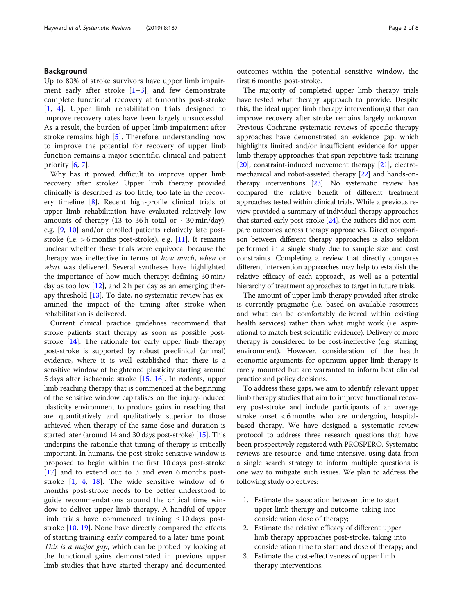# Background

Up to 80% of stroke survivors have upper limb impairment early after stroke  $[1-3]$  $[1-3]$  $[1-3]$  $[1-3]$ , and few demonstrate complete functional recovery at 6 months post-stroke [[1](#page-6-0), [4\]](#page-6-0). Upper limb rehabilitation trials designed to improve recovery rates have been largely unsuccessful. As a result, the burden of upper limb impairment after stroke remains high [[5\]](#page-6-0). Therefore, understanding how to improve the potential for recovery of upper limb function remains a major scientific, clinical and patient priority  $[6, 7]$  $[6, 7]$  $[6, 7]$  $[6, 7]$ .

Why has it proved difficult to improve upper limb recovery after stroke? Upper limb therapy provided clinically is described as too little, too late in the recovery timeline [[8](#page-6-0)]. Recent high-profile clinical trials of upper limb rehabilitation have evaluated relatively low amounts of therapy (13 to 36 h total or  $\sim$  30 min/day), e.g. [\[9](#page-6-0), [10](#page-6-0)] and/or enrolled patients relatively late poststroke (i.e.  $> 6$  months post-stroke), e.g. [[11](#page-6-0)]. It remains unclear whether these trials were equivocal because the therapy was ineffective in terms of how much, when or what was delivered. Several syntheses have highlighted the importance of how much therapy; defining 30 min/ day as too low  $[12]$  $[12]$  $[12]$ , and 2 h per day as an emerging therapy threshold [\[13](#page-6-0)]. To date, no systematic review has examined the impact of the timing after stroke when rehabilitation is delivered.

Current clinical practice guidelines recommend that stroke patients start therapy as soon as possible poststroke [\[14\]](#page-6-0). The rationale for early upper limb therapy post-stroke is supported by robust preclinical (animal) evidence, where it is well established that there is a sensitive window of heightened plasticity starting around 5 days after ischaemic stroke [[15](#page-6-0), [16](#page-6-0)]. In rodents, upper limb reaching therapy that is commenced at the beginning of the sensitive window capitalises on the injury-induced plasticity environment to produce gains in reaching that are quantitatively and qualitatively superior to those achieved when therapy of the same dose and duration is started later (around 14 and 30 days post-stroke) [\[15](#page-6-0)]. This underpins the rationale that timing of therapy is critically important. In humans, the post-stroke sensitive window is proposed to begin within the first 10 days post-stroke [[17\]](#page-6-0) and to extend out to 3 and even 6 months poststroke [[1,](#page-6-0) [4](#page-6-0), [18\]](#page-6-0). The wide sensitive window of 6 months post-stroke needs to be better understood to guide recommendations around the critical time window to deliver upper limb therapy. A handful of upper limb trials have commenced training  $\leq 10 \text{ days}$  poststroke [\[10](#page-6-0), [19\]](#page-6-0). None have directly compared the effects of starting training early compared to a later time point. This is a major gap, which can be probed by looking at the functional gains demonstrated in previous upper limb studies that have started therapy and documented

outcomes within the potential sensitive window, the first 6 months post-stroke.

The majority of completed upper limb therapy trials have tested what therapy approach to provide. Despite this, the ideal upper limb therapy intervention(s) that can improve recovery after stroke remains largely unknown. Previous Cochrane systematic reviews of specific therapy approaches have demonstrated an evidence gap, which highlights limited and/or insufficient evidence for upper limb therapy approaches that span repetitive task training [[20](#page-6-0)], constraint-induced movement therapy [\[21\]](#page-6-0), electromechanical and robot-assisted therapy [\[22\]](#page-6-0) and hands-ontherapy interventions [\[23\]](#page-6-0). No systematic review has compared the relative benefit of different treatment approaches tested within clinical trials. While a previous review provided a summary of individual therapy approaches that started early post-stroke [[24\]](#page-6-0), the authors did not compare outcomes across therapy approaches. Direct comparison between different therapy approaches is also seldom performed in a single study due to sample size and cost constraints. Completing a review that directly compares different intervention approaches may help to establish the relative efficacy of each approach, as well as a potential hierarchy of treatment approaches to target in future trials.

The amount of upper limb therapy provided after stroke is currently pragmatic (i.e. based on available resources and what can be comfortably delivered within existing health services) rather than what might work (i.e. aspirational to match best scientific evidence). Delivery of more therapy is considered to be cost-ineffective (e.g. staffing, environment). However, consideration of the health economic arguments for optimum upper limb therapy is rarely mounted but are warranted to inform best clinical practice and policy decisions.

To address these gaps, we aim to identify relevant upper limb therapy studies that aim to improve functional recovery post-stroke and include participants of an average stroke onset < 6 months who are undergoing hospitalbased therapy. We have designed a systematic review protocol to address three research questions that have been prospectively registered with PROSPERO. Systematic reviews are resource- and time-intensive, using data from a single search strategy to inform multiple questions is one way to mitigate such issues. We plan to address the following study objectives:

- 1. Estimate the association between time to start upper limb therapy and outcome, taking into consideration dose of therapy;
- 2. Estimate the relative efficacy of different upper limb therapy approaches post-stroke, taking into consideration time to start and dose of therapy; and
- 3. Estimate the cost-effectiveness of upper limb therapy interventions.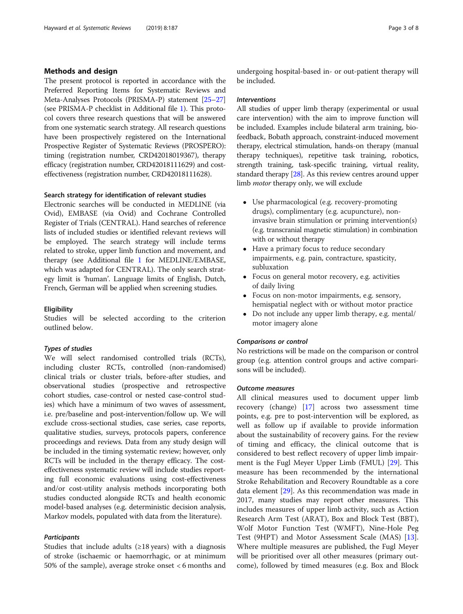# Methods and design

The present protocol is reported in accordance with the Preferred Reporting Items for Systematic Reviews and Meta-Analyses Protocols (PRISMA-P) statement [\[25](#page-6-0)–[27](#page-6-0)] (see PRISMA-P checklist in Additional file [1](#page-5-0)). This protocol covers three research questions that will be answered from one systematic search strategy. All research questions have been prospectively registered on the International Prospective Register of Systematic Reviews (PROSPERO): timing (registration number, CRD42018019367), therapy efficacy (registration number, CRD42018111629) and costeffectiveness (registration number, CRD42018111628).

# Search strategy for identification of relevant studies

Electronic searches will be conducted in MEDLINE (via Ovid), EMBASE (via Ovid) and Cochrane Controlled Register of Trials (CENTRAL). Hand searches of reference lists of included studies or identified relevant reviews will be employed. The search strategy will include terms related to stroke, upper limb function and movement, and therapy (see Additional file [1](#page-5-0) for MEDLINE/EMBASE, which was adapted for CENTRAL). The only search strategy limit is 'human'. Language limits of English, Dutch, French, German will be applied when screening studies.

### Eligibility

Studies will be selected according to the criterion outlined below.

# Types of studies

We will select randomised controlled trials (RCTs), including cluster RCTs, controlled (non-randomised) clinical trials or cluster trials, before-after studies, and observational studies (prospective and retrospective cohort studies, case-control or nested case-control studies) which have a minimum of two waves of assessment, i.e. pre/baseline and post-intervention/follow up. We will exclude cross-sectional studies, case series, case reports, qualitative studies, surveys, protocols papers, conference proceedings and reviews. Data from any study design will be included in the timing systematic review; however, only RCTs will be included in the therapy efficacy. The costeffectiveness systematic review will include studies reporting full economic evaluations using cost-effectiveness and/or cost-utility analysis methods incorporating both studies conducted alongside RCTs and health economic model-based analyses (e.g. deterministic decision analysis, Markov models, populated with data from the literature).

# **Participants**

Studies that include adults  $(\geq 18 \text{ years})$  with a diagnosis of stroke (ischaemic or haemorrhagic, or at minimum 50% of the sample), average stroke onset < 6 months and

undergoing hospital-based in- or out-patient therapy will be included.

#### Interventions

All studies of upper limb therapy (experimental or usual care intervention) with the aim to improve function will be included. Examples include bilateral arm training, biofeedback, Bobath approach, constraint-induced movement therapy, electrical stimulation, hands-on therapy (manual therapy techniques), repetitive task training, robotics, strength training, task-specific training, virtual reality, standard therapy [\[28\]](#page-6-0). As this review centres around upper limb motor therapy only, we will exclude

- Use pharmacological (e.g. recovery-promoting drugs), complimentary (e.g. acupuncture), noninvasive brain stimulation or priming intervention(s) (e.g. transcranial magnetic stimulation) in combination with or without therapy
- Have a primary focus to reduce secondary impairments, e.g. pain, contracture, spasticity, subluxation
- Focus on general motor recovery, e.g. activities of daily living
- Focus on non-motor impairments, e.g. sensory, hemispatial neglect with or without motor practice
- Do not include any upper limb therapy, e.g. mental/ motor imagery alone

# Comparisons or control

No restrictions will be made on the comparison or control group (e.g. attention control groups and active comparisons will be included).

# Outcome measures

All clinical measures used to document upper limb recovery (change) [\[17](#page-6-0)] across two assessment time points, e.g. pre to post-intervention will be explored, as well as follow up if available to provide information about the sustainability of recovery gains. For the review of timing and efficacy, the clinical outcome that is considered to best reflect recovery of upper limb impairment is the Fugl Meyer Upper Limb (FMUL) [[29](#page-6-0)]. This measure has been recommended by the international Stroke Rehabilitation and Recovery Roundtable as a core data element [[29\]](#page-6-0). As this recommendation was made in 2017, many studies may report other measures. This includes measures of upper limb activity, such as Action Research Arm Test (ARAT), Box and Block Test (BBT), Wolf Motor Function Test (WMFT), Nine-Hole Peg Test (9HPT) and Motor Assessment Scale (MAS) [\[13](#page-6-0)]. Where multiple measures are published, the Fugl Meyer will be prioritised over all other measures (primary outcome), followed by timed measures (e.g. Box and Block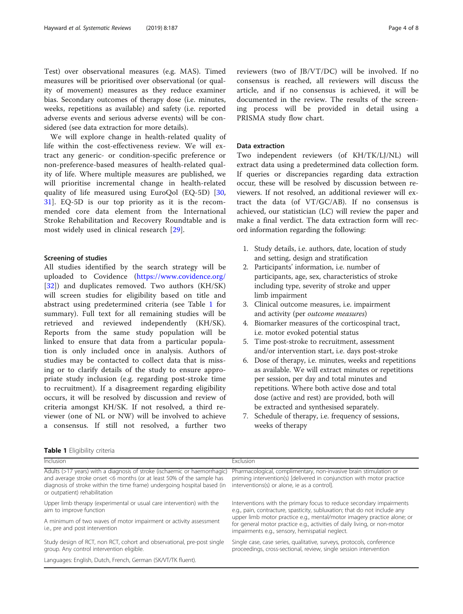Test) over observational measures (e.g. MAS). Timed measures will be prioritised over observational (or quality of movement) measures as they reduce examiner bias. Secondary outcomes of therapy dose (i.e. minutes, weeks, repetitions as available) and safety (i.e. reported adverse events and serious adverse events) will be considered (see data extraction for more details).

We will explore change in health-related quality of life within the cost-effectiveness review. We will extract any generic- or condition-specific preference or non-preference-based measures of health-related quality of life. Where multiple measures are published, we will prioritise incremental change in health-related quality of life measured using EuroQol (EQ-5D) [\[30](#page-6-0), [31\]](#page-6-0). EQ-5D is our top priority as it is the recommended core data element from the International Stroke Rehabilitation and Recovery Roundtable and is most widely used in clinical research [\[29](#page-6-0)].

#### Screening of studies

All studies identified by the search strategy will be uploaded to Covidence (<https://www.covidence.org/> [[32\]](#page-6-0)) and duplicates removed. Two authors (KH/SK) will screen studies for eligibility based on title and abstract using predetermined criteria (see Table 1 for summary). Full text for all remaining studies will be retrieved and reviewed independently (KH/SK). Reports from the same study population will be linked to ensure that data from a particular population is only included once in analysis. Authors of studies may be contacted to collect data that is missing or to clarify details of the study to ensure appropriate study inclusion (e.g. regarding post-stroke time to recruitment). If a disagreement regarding eligibility occurs, it will be resolved by discussion and review of criteria amongst KH/SK. If not resolved, a third reviewer (one of NL or NW) will be involved to achieve a consensus. If still not resolved, a further two

reviewers (two of JB/VT/DC) will be involved. If no consensus is reached, all reviewers will discuss the article, and if no consensus is achieved, it will be documented in the review. The results of the screening process will be provided in detail using a PRISMA study flow chart.

# Data extraction

Two independent reviewers (of KH/TK/LJ/NL) will extract data using a predetermined data collection form. If queries or discrepancies regarding data extraction occur, these will be resolved by discussion between reviewers. If not resolved, an additional reviewer will extract the data (of VT/GC/AB). If no consensus is achieved, our statistician (LC) will review the paper and make a final verdict. The data extraction form will record information regarding the following:

- 1. Study details, i.e. authors, date, location of study and setting, design and stratification
- 2. Participants' information, i.e. number of participants, age, sex, characteristics of stroke including type, severity of stroke and upper limb impairment
- 3. Clinical outcome measures, i.e. impairment and activity (per outcome measures)
- 4. Biomarker measures of the corticospinal tract, i.e. motor evoked potential status
- 5. Time post-stroke to recruitment, assessment and/or intervention start, i.e. days post-stroke
- 6. Dose of therapy, i.e. minutes, weeks and repetitions as available. We will extract minutes or repetitions per session, per day and total minutes and repetitions. Where both active dose and total dose (active and rest) are provided, both will be extracted and synthesised separately.
- 7. Schedule of therapy, i.e. frequency of sessions, weeks of therapy

|  | Table 1 Eligibility criteria |  |
|--|------------------------------|--|
|--|------------------------------|--|

| Inclusion                                                                                                                                                                                                                                                       | Exclusion                                                                                                                                                                                                                                                                                                                                                    |  |  |
|-----------------------------------------------------------------------------------------------------------------------------------------------------------------------------------------------------------------------------------------------------------------|--------------------------------------------------------------------------------------------------------------------------------------------------------------------------------------------------------------------------------------------------------------------------------------------------------------------------------------------------------------|--|--|
| Adults (>17 years) with a diagnosis of stroke (ischaemic or haemorrhagic)<br>and average stroke onset <6 months (or at least 50% of the sample has<br>diagnosis of stroke within the time frame) undergoing hospital based (in<br>or outpatient) rehabilitation | Pharmacological, complimentary, non-invasive brain stimulation or<br>priming intervention(s) [delivered in conjunction with motor practice<br>interventions(s) or alone, ie as a control].                                                                                                                                                                   |  |  |
| Upper limb therapy (experimental or usual care intervention) with the<br>aim to improve function                                                                                                                                                                | Interventions with the primary focus to reduce secondary impairments<br>e.g., pain, contracture, spasticity, subluxation; that do not include any<br>upper limb motor practice e.g., mental/motor imagery practice alone; or<br>for general motor practice e.g., activities of daily living, or non-motor<br>impairments e.g., sensory, hemispatial neglect. |  |  |
| A minimum of two waves of motor impairment or activity assessment<br>i.e., pre and post intervention                                                                                                                                                            |                                                                                                                                                                                                                                                                                                                                                              |  |  |
| Study design of RCT, non RCT, cohort and observational, pre-post single<br>group. Any control intervention eligible.                                                                                                                                            | Single case, case series, qualitative, surveys, protocols, conference<br>proceedings, cross-sectional, review, single session intervention                                                                                                                                                                                                                   |  |  |
| Languages: English, Dutch, French, German (SK/VT/TK fluent).                                                                                                                                                                                                    |                                                                                                                                                                                                                                                                                                                                                              |  |  |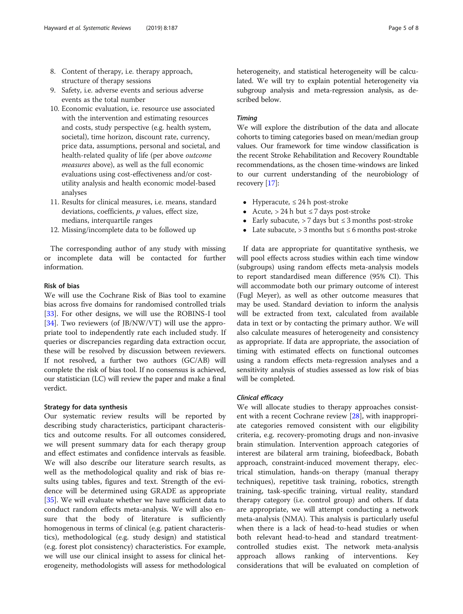- 8. Content of therapy, i.e. therapy approach, structure of therapy sessions
- 9. Safety, i.e. adverse events and serious adverse events as the total number
- 10. Economic evaluation, i.e. resource use associated with the intervention and estimating resources and costs, study perspective (e.g. health system, societal), time horizon, discount rate, currency, price data, assumptions, personal and societal, and health-related quality of life (per above outcome measures above), as well as the full economic evaluations using cost-effectiveness and/or costutility analysis and health economic model-based analyses
- 11. Results for clinical measures, i.e. means, standard deviations, coefficients,  $p$  values, effect size, medians, interquartile ranges
- 12. Missing/incomplete data to be followed up

The corresponding author of any study with missing or incomplete data will be contacted for further information.

# Risk of bias

We will use the Cochrane Risk of Bias tool to examine bias across five domains for randomised controlled trials [[33\]](#page-6-0). For other designs, we will use the ROBINS-I tool [[34\]](#page-6-0). Two reviewers (of JB/NW/VT) will use the appropriate tool to independently rate each included study. If queries or discrepancies regarding data extraction occur, these will be resolved by discussion between reviewers. If not resolved, a further two authors (GC/AB) will complete the risk of bias tool. If no consensus is achieved, our statistician (LC) will review the paper and make a final verdict.

### Strategy for data synthesis

Our systematic review results will be reported by describing study characteristics, participant characteristics and outcome results. For all outcomes considered, we will present summary data for each therapy group and effect estimates and confidence intervals as feasible. We will also describe our literature search results, as well as the methodological quality and risk of bias results using tables, figures and text. Strength of the evidence will be determined using GRADE as appropriate [[35\]](#page-6-0). We will evaluate whether we have sufficient data to conduct random effects meta-analysis. We will also ensure that the body of literature is sufficiently homogenous in terms of clinical (e.g. patient characteristics), methodological (e.g. study design) and statistical (e.g. forest plot consistency) characteristics. For example, we will use our clinical insight to assess for clinical heterogeneity, methodologists will assess for methodological heterogeneity, and statistical heterogeneity will be calculated. We will try to explain potential heterogeneity via subgroup analysis and meta-regression analysis, as described below.

# **Timing**

We will explore the distribution of the data and allocate cohorts to timing categories based on mean/median group values. Our framework for time window classification is the recent Stroke Rehabilitation and Recovery Roundtable recommendations, as the chosen time-windows are linked to our current understanding of the neurobiology of recovery [\[17](#page-6-0)]:

- Hyperacute,  $\leq 24$  h post-stroke
- Acute, > 24 h but ≤ 7 days post-stroke
- Early subacute,  $> 7$  days but  $\leq 3$  months post-stroke
- Late subacute, > 3 months but ≤ 6 months post-stroke

If data are appropriate for quantitative synthesis, we will pool effects across studies within each time window (subgroups) using random effects meta-analysis models to report standardised mean difference (95% CI). This will accommodate both our primary outcome of interest (Fugl Meyer), as well as other outcome measures that may be used. Standard deviation to inform the analysis will be extracted from text, calculated from available data in text or by contacting the primary author. We will also calculate measures of heterogeneity and consistency as appropriate. If data are appropriate, the association of timing with estimated effects on functional outcomes using a random effects meta-regression analyses and a sensitivity analysis of studies assessed as low risk of bias will be completed.

# Clinical efficacy

We will allocate studies to therapy approaches consistent with a recent Cochrane review [[28\]](#page-6-0), with inappropriate categories removed consistent with our eligibility criteria, e.g. recovery-promoting drugs and non-invasive brain stimulation. Intervention approach categories of interest are bilateral arm training, biofeedback, Bobath approach, constraint-induced movement therapy, electrical stimulation, hands-on therapy (manual therapy techniques), repetitive task training, robotics, strength training, task-specific training, virtual reality, standard therapy category (i.e. control group) and others. If data are appropriate, we will attempt conducting a network meta-analysis (NMA). This analysis is particularly useful when there is a lack of head-to-head studies or when both relevant head-to-head and standard treatmentcontrolled studies exist. The network meta-analysis approach allows ranking of interventions. Key considerations that will be evaluated on completion of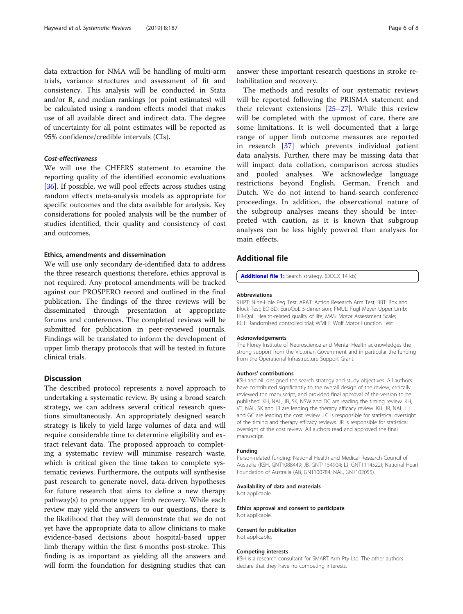<span id="page-5-0"></span>data extraction for NMA will be handling of multi-arm trials, variance structures and assessment of fit and consistency. This analysis will be conducted in Stata and/or R, and median rankings (or point estimates) will be calculated using a random effects model that makes use of all available direct and indirect data. The degree of uncertainty for all point estimates will be reported as 95% confidence/credible intervals (CIs).

# Cost-effectiveness

We will use the CHEERS statement to examine the reporting quality of the identified economic evaluations [[36\]](#page-6-0). If possible, we will pool effects across studies using random effects meta-analysis models as appropriate for specific outcomes and the data available for analysis. Key considerations for pooled analysis will be the number of studies identified, their quality and consistency of cost and outcomes.

# Ethics, amendments and dissemination

We will use only secondary de-identified data to address the three research questions; therefore, ethics approval is not required. Any protocol amendments will be tracked against our PROSPERO record and outlined in the final publication. The findings of the three reviews will be disseminated through presentation at appropriate forums and conferences. The completed reviews will be submitted for publication in peer-reviewed journals. Findings will be translated to inform the development of upper limb therapy protocols that will be tested in future clinical trials.

# Discussion

The described protocol represents a novel approach to undertaking a systematic review. By using a broad search strategy, we can address several critical research questions simultaneously. An appropriately designed search strategy is likely to yield large volumes of data and will require considerable time to determine eligibility and extract relevant data. The proposed approach to completing a systematic review will minimise research waste, which is critical given the time taken to complete systematic reviews. Furthermore, the outputs will synthesise past research to generate novel, data-driven hypotheses for future research that aims to define a new therapy pathway(s) to promote upper limb recovery. While each review may yield the answers to our questions, there is the likelihood that they will demonstrate that we do not yet have the appropriate data to allow clinicians to make evidence-based decisions about hospital-based upper limb therapy within the first 6 months post-stroke. This finding is as important as yielding all the answers and will form the foundation for designing studies that can

answer these important research questions in stroke rehabilitation and recovery.

The methods and results of our systematic reviews will be reported following the PRISMA statement and their relevant extensions [\[25](#page-6-0)–[27](#page-6-0)]. While this review will be completed with the upmost of care, there are some limitations. It is well documented that a large range of upper limb outcome measures are reported in research [[37\]](#page-7-0) which prevents individual patient data analysis. Further, there may be missing data that will impact data collation, comparison across studies and pooled analyses. We acknowledge language restrictions beyond English, German, French and Dutch. We do not intend to hand-search conference proceedings. In addition, the observational nature of the subgroup analyses means they should be interpreted with caution, as it is known that subgroup analyses can be less highly powered than analyses for main effects.

# Additional file

[Additional file 1:](https://doi.org/10.1186/s13643-019-1093-6) Search strategy. (DOCX 14 kb)

#### Abbreviations

9HPT: Nine-Hole Peg Test; ARAT: Action Research Arm Test; BBT: Box and Block Test; EQ-5D: EuroQoL 5-dimension; FMUL: Fugl Meyer Upper Limb; HR-QoL: Health-related quality of life; MAS: Motor Assessment Scale; RCT: Randomised controlled trial; WMFT: Wolf Motor Function Test

#### Acknowledgements

The Florey Institute of Neuroscience and Mental Health acknowledges the strong support from the Victorian Government and in particular the funding from the Operational Infrastructure Support Grant.

#### Authors' contributions

KSH and NL designed the search strategy and study objectives. All authors have contributed significantly to the overall design of the review, critically reviewed the manuscript, and provided final approval of the version to be published. KH, NAL, JB, SK, NSW and DC are leading the timing review. KH, VT, NAL, SK and JB are leading the therapy efficacy review. KH, JR, NAL, LJ and GC are leading the cost review. LC is responsible for statistical oversight of the timing and therapy efficacy reviews. JR is responsible for statistical oversight of the cost review. All authors read and approved the final manuscript.

#### Funding

Person-related funding: National Health and Medical Research Council of Australia (KSH, GNT1088449; JB, GNT1154904; LJ, GNT1114522); National Heart Foundation of Australia (AB, GNT100784; NAL, GNT102055).

#### Availability of data and materials

Not applicable.

# Ethics approval and consent to participate

Not applicable.

#### Consent for publication

Not applicable.

#### Competing interests

KSH is a research consultant for SMART Arm Pty Ltd. The other authors declare that they have no competing interests.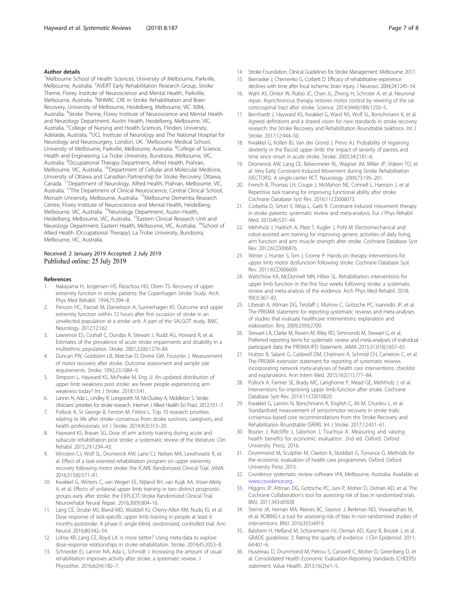# <span id="page-6-0"></span>Author details

<sup>1</sup>Melbourne School of Health Sciences, University of Melbourne, Parkville, Melbourne, Australia. <sup>2</sup>AVERT Early Rehabilitation Research Group, Stroke Theme, Florey Institute of Neuroscience and Mental Health, Parkville, Melbourne, Australia. <sup>3</sup>NHMRC CRE in Stroke Rehabilitation and Brain Recovery, University of Melbourne, Heidelberg, Melbourne, VIC 3084, Australia. <sup>4</sup>Stroke Theme, Florey Institute of Neuroscience and Mental Health and Neurology Department, Austin Health, Heidelberg, Melbourne, VIC, Australia. <sup>5</sup>College of Nursing and Health Sciences, Flinders University, Adelaide, Australia. <sup>6</sup>UCL Institute of Neurology and The National Hospital for Neurology and Neurosurgery, London, UK. <sup>7</sup>Melbourne Medical School, University of Melbourne, Parkville, Melbourne, Australia. <sup>8</sup>College of Science, Health and Engineering, La Trobe University, Bundoora, Melbourne, VIC, Australia. <sup>9</sup>Occupational Therapy Department, Alfred Health, Prahran, Melbourne, VIC, Australia. <sup>10</sup>Department of Cellular and Molecular Medicine, University of Ottawa and Canadian Partnership for Stroke Recovery, Ottawa, Canada. 11Department of Neurology, Alfred Health, Prahran, Melbourne, VIC, Australia. 12The Department of Clinical Neuroscience, Central Clinical School, Monash University, Melbourne, Australia. 13Melbourne Dementia Research Centre, Florey Institute of Neuroscience and Mental Health, Heidelberg, Melbourne, VIC, Australia. 14Neurology Department, Austin Health, Heidelberg, Melbourne, VIC, Australia. <sup>15</sup>Eastern Clinical Research Unit and Neurology Department, Eastern Health, Melbourne, VIC, Australia. <sup>16</sup>School of Allied Health (Occupational Therapy), La Trobe University, Bundoora, Melbourne, VIC, Australia.

# Received: 2 January 2019 Accepted: 2 July 2019 Published online: 25 July 2019

#### References

- 1. Nakayama H, Jorgensen HS, Rasschou HO, Olsen TS. Recovery of upper extremity function in stroke patients: the Copenhagen Stroke Study. Arch Phys Med Rehabil. 1994;75:394–8.
- 2. Persson HC, Parziali M, Danielsson A, Sunnerhagen KS. Outcome and upper extremity function within 72 hours after first occasion of stroke in an unselected population at a stroke unit. A part of the SALGOT study. BMC Neurology. 2012;12:162.
- 3. Lawrence ES, Coshall C, Dundas R, Stewart J, Rudd AG, Howard R, et al. Estimates of the prevalence of acute stroke impairments and disability in a multiethnic population. Stroke. 2001;32(6):1279–84.
- 4. Duncan PW, Goldstein LB, Matchar D, Divine GW, Feussner J. Measurement of motor recovery after stroke. Outcome assessment and sample size requirements. Stroke. 1992;23:1084–9.
- 5. Simpson L, Hayward KS, McPeake M, Eng JJ. An updated distribution of upper limb weakness post stroke: are fewer people experiencing arm weakness today? Int J Stroke. 2018;13:41.
- 6. Lannin N, Ada L, Lindley R, Longworth M, McCluskey A, Middleton S. Stroke clinicians' priorities for stroke research. Internet J Allied Health Sci Pract. 2012;10:1–7.
- 7. Pollock A, St George B, Fenton M, Firkins L. Top 10 research priorities relating to life after stroke--consensus from stroke survivors, caregivers, and health professionals. Int J Stroke. 2014;9(3):313–20.
- 8. Hayward KS, Brauer SG. Dose of arm activity training during acute and subacute rehabilitation post stroke: a systematic review of the literature. Clin Rehabil. 2015;29:1234–43.
- 9. Winstein CJ, Wolf SL, Dromerick AW, Lane CJ, Nelsen MA, Lewthwaite R, et al. Effect of a task-oriented rehabilitation program on upper extremity recovery following motor stroke: the ICARE Randomized Clinical Trial. JAMA. 2016;315(6):571–81.
- 10. Kwakkel G, Winters C, van Wegen EE, Nijland RH, van Kuijk AA, Visser-Meily A, et al. Effects of unilateral upper limb training in two distinct prognostic groups early after stroke: the EXPLICIT-Stroke Randomized Clinical Trial. Neurorehabil Neural Repair. 2016;30(9):804–16.
- 11. Lang CE, Strube MJ, Bland MD, Waddell KJ, Cherry-Allen KM, Nudo RJ, et al. Dose response of task-specific upper limb training in people at least 6 months poststroke: A phase II, single-blind, randomized, controlled trial. Ann Neurol. 2016;80:342–54.
- 12. Lohse KR, Lang CE, Boyd LA. Is more better? Using meta-data to explore dose-response relationships in stroke rehabilitation. Stroke. 2014;45:2053–8.
- 13. Schneider EJ, Lannin NA, Ada L, Schmidt J. Increasing the amount of usual rehabilitation improves activity after stroke: a systematic review. J Physiother. 2016;62(4):182–7.
- 14. Stroke Foundation. Clinical Guidelines for Stroke Management. Melbourne; 2017.
- 15. Biernaskie J, Chernenko G, Corbett D. Efficacy of rehabilitative experience declines with time after focal ischemic brain injury. J Neurosci. 2004;24:1245–54.
- 16. Wahl AS, Omlor W, Rubio JC, Chen JL, Zheng H, Schroter A, et al. Neuronal repair. Asynchronous therapy restores motor control by rewiring of the rat corticospinal tract after stroke. Science. 2014;344(6189):1250–5.
- 17. Bernhardt J, Hayward KS, Kwakkel G, Ward NS, Wolf SL, Borschmann K, et al. Agreed definitions and a shared vision for new standards in stroke recovery research: the Stroke Recovery and Rehabilitation Roundtable taskforce. Int J Stroke. 2017;12:444–50.
- 18. Kwakkel G, Kollen BJ, Van der Grond J, Prevo AJ. Probability of regaining dexterity in the flaccid upper limb: the impact of severity of paresis and time since onset in acute stroke. Stroke. 2003;34:2181–6.
- 19. Dromerick AW, Lang CE, Birkenmeier RL, Wagner JM, Miller JP, Videen TO, et al. Very Early Constraint-Induced Movement during Stroke Rehabilitation (VECTORS). A single-center RCT. Neurology. 2009;73:195–201.
- 20. French B, Thomas LH, Coupe J, McMahon NE, Connell L, Harrison, Let al. Repetitive task training for improving functional ability after stroke. Cochrane Database Syst Rev. 2016;11:CD006073.
- 21. Corbetta D, Sirtori V, Moja L, Gatti R. Constraint-induced movement therapy in stroke patients: systematic review and meta-analysis. Eur J Phys Rehabil Med. 2010;46:537–44.
- 22. Mehrholz J, Hadrich A, Platz T, Kugler J, Pohl M. Electromechanical and robot-assisted arm training for improving generic activities of daily living, arm function and arm muscle strength after stroke. Cochrane Database Syst Rev. 2012;6:CD006876.
- 23. Winter J, Hunter S, Sim J, Crome P. Hands-on therapy interventions for upper limb motor dysfunction following stroke. Cochrane Database Syst Rev. 2011;6:CD006609.
- 24. Wattchow KA, McDonnell MN, Hillier SL. Rehabilitation interventions for upper limb function in the first four weeks following stroke: a systematic review and meta-analysis of the evidence. Arch Phys Med Rehabil. 2018; 99(2):367–82.
- 25. Liberati A, Altman DG, Tetzlaff J, Mulrow C, Gotzsche PC, Ioannidis JP, et al. The PRISMA statement for reporting systematic reviews and meta-analyses of studies that evaluate healthcare interventions: explanation and elaboration. Bmj. 2009;339:b2700.
- 26. Stewart LA, Clarke M, Rovers M, Riley RD, Simmonds M, Stewart G, et al. Preferred reporting items for systematic review and meta-analyses of individual participant data: the PRISMA-IPD Statement. JAMA. 2015;313(16):1657–65.
- 27. Hutton B, Salanti G, Caldwell DM, Chaimani A, Schmid CH, Cameron C, et al. The PRISMA extension statement for reporting of systematic reviews incorporating network meta-analyses of health care interventions: checklist and explanations. Ann Intern Med. 2015;162(11):777–84.
- 28. Pollock A, Farmer SE, Brady MC, Langhorne P, Mead GE, Mehrholz J, et al. Interventions for improving upper limb function after stroke. Cochrane Database Syst Rev. 2014;11:CD010820.
- 29. Kwakkel G, Lannin N, Borschmann K, English C, Ali M, Churilov L, et al. Standardised measurement of sensorimotor recovery in stroke trials: consensus-based core recommendations from the Stroke Recovery and Rehabilitation Roundtable (SRRR). Int J Stroke. 2017;12:451–61.
- 30. Brazier J, Ratcliffe J, Salomon J, Tsuchiya A. Measuring and valuing health benefits for economic evaluation. 2nd ed. Oxford: Oxford University Press; 2016.
- 31. Drummond M, Sculpher M, Claxton K, Stoddart G, Torrance G. Methods for the economic evaluation of health care programmes. Oxford: Oxford University Press; 2015.
- 32. Covidence systematic review software VHI, Melbourne, Australia. Available at [www.covidence.org](http://www.covidence.org).
- 33. Higgins JP, Altman DG, Gotzsche PC, Juni P, Moher D, Oxman AD, et al. The Cochrane Collaboration's tool for assessing risk of bias in randomised trials. BMJ. 2011;343:d5928.
- 34. Sterne JA, Hernan MA, Reeves BC, Savovic J, Berkman ND, Viswanathan M, et al. ROBINS-I: a tool for assessing risk of bias in non-randomised studies of interventions. BMJ. 2016;355:i4919.
- 35. Balshem H, Helfand M, Schünemann HJ, Oxman AD, Kunz R, Brozek J, et al. GRADE guidelines: 3. Rating the quality of evidence. J Clin Epidemiol. 2011; 64:401–6.
- 36. Husereau D, Drummond M, Petrou S, Carswell C, Moher D, Greenberg D, et al. Consolidated Health Economic Evaluation Reporting Standards (CHEERS) statement. Value Health. 2013;16(2):e1–5.